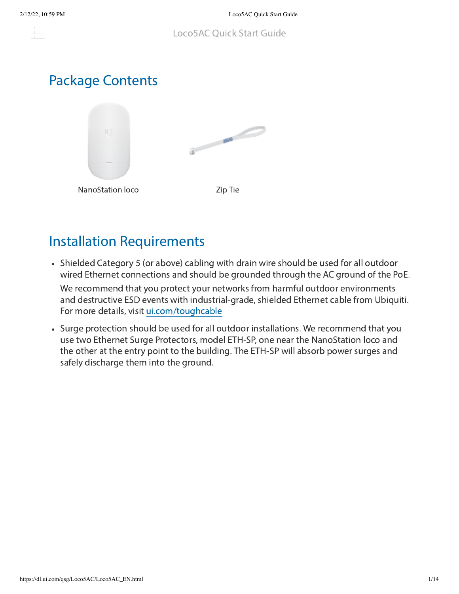the c

# Package Contents



# Installation Requirements

Shielded Category 5 (or above) cabling with drain wire should be used for all outdoor wired Ethernet connections and should be grounded through the AC ground of the PoE.

We recommend that you protect your networks from harmful outdoor environments and destructive ESD events with industrial-grade, shielded Ethernet cable from Ubiquiti. For more details, visit [ui.com/toughcable](https://www.ui.com/accessories/toughcable/)

Surge protection should be used for all outdoor installations. We recommend that you use two Ethernet Surge Protectors, model ETH-SP, one near the NanoStation loco and the other at the entry point to the building. The ETH-SP will absorb power surges and safely discharge them into the ground.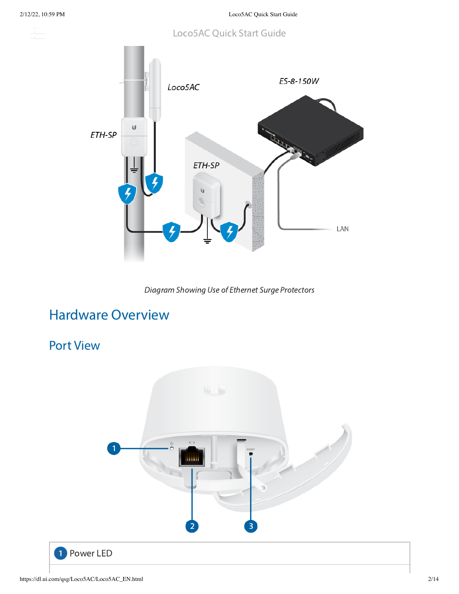and and



Diagram Showing Use of Ethernet Surge Protectors

# Hardware Overview

## Port View

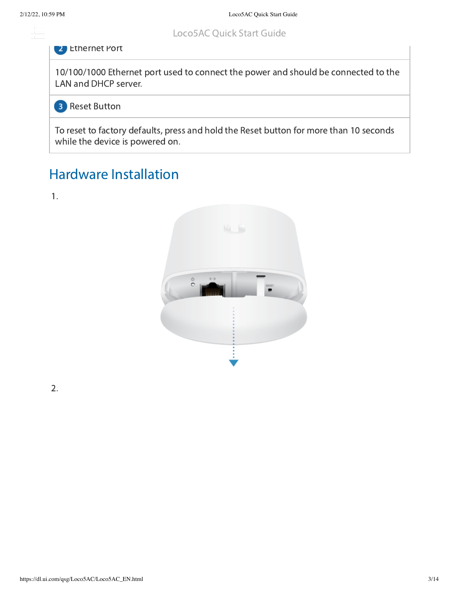s post

#### Loco5AC Quick Start Guide

#### **2** Ethernet Port

10/100/1000 Ethernet port used to connect the power and should be connected to the LAN and DHCP server.

**B** Reset Button

To reset to factory defaults, press and hold the Reset button for more than 10 seconds while the device is powered on.

# Hardware Installation





2.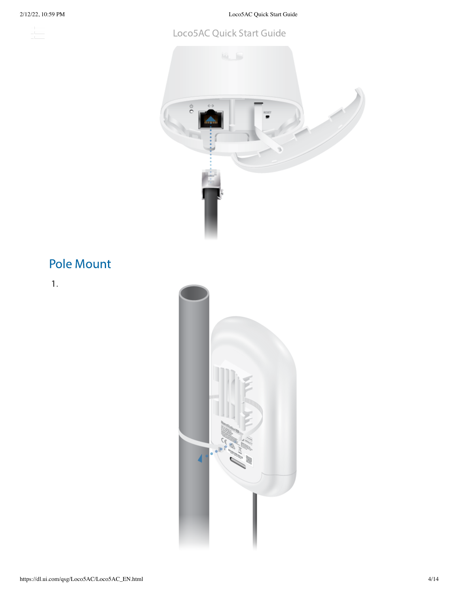$\frac{1}{\sqrt{2}}\int_{-\infty}^{\infty}$ 

2/12/22, 10:59 PM Loco5AC Quick Start Guide

#### Loco5AC Quick Start Guide



# Pole Mount

1.

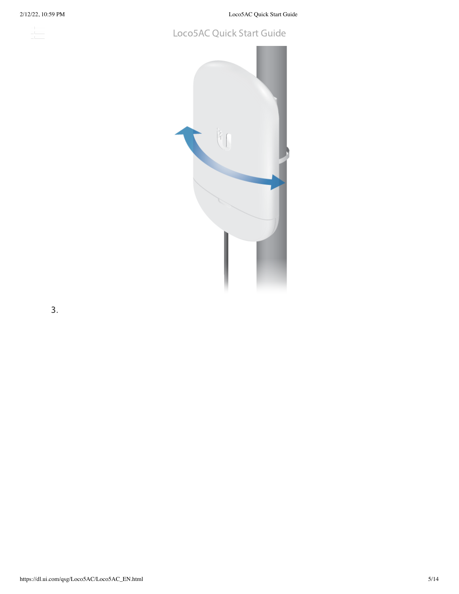2/12/22, 10:59 PM Loco5AC Quick Start Guide

## 

#### Loco5AC Quick Start Guide



3.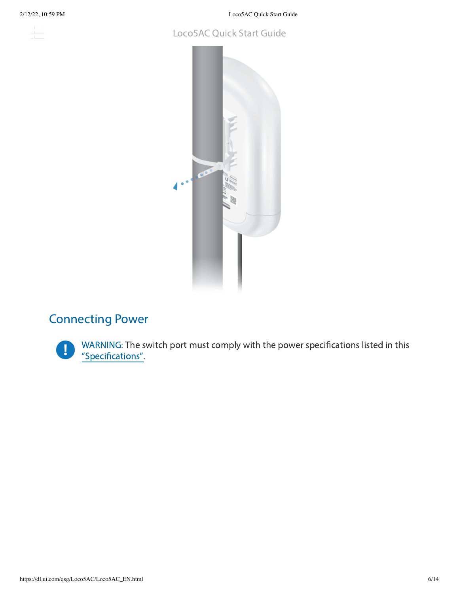s post

2/12/22, 10:59 PM Loco5AC Quick Start Guide

#### Loco5AC Quick Start Guide



### Connecting Power



WARNING: The switch port must comply with the power specifications listed in this ["Specifications".](#page-9-0)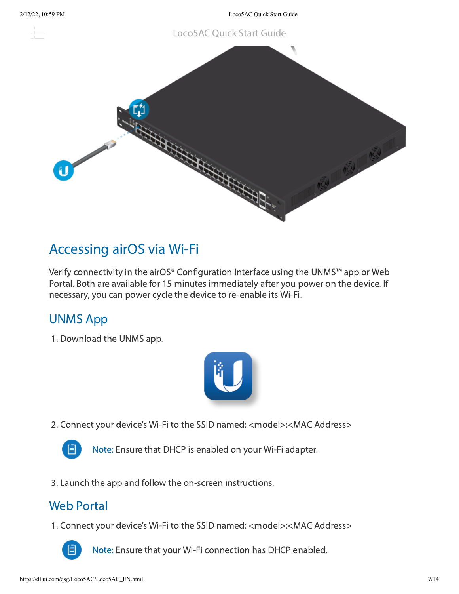#### Loco5AC Quick Start Guide



## Accessing airOS via Wi-Fi

Verify connectivity in the airOS® Configuration Interface using the UNMS™ app or Web Portal. Both are available for 15 minutes immediately after you power on the device. If necessary, you can power cycle the device to re-enable its Wi-Fi.

### UNMS App

1. Download the UNMS app.



2. Connect your device's Wi-Fi to the SSID named: <model>:<MAC Address>



Note: Ensure that DHCP is enabled on your Wi-Fi adapter.

3. Launch the app and follow the on-screen instructions.

#### Web Portal

1. Connect your device's Wi-Fi to the SSID named: <model>:<MAC Address>



Note: Ensure that your Wi-Fi connection has DHCP enabled.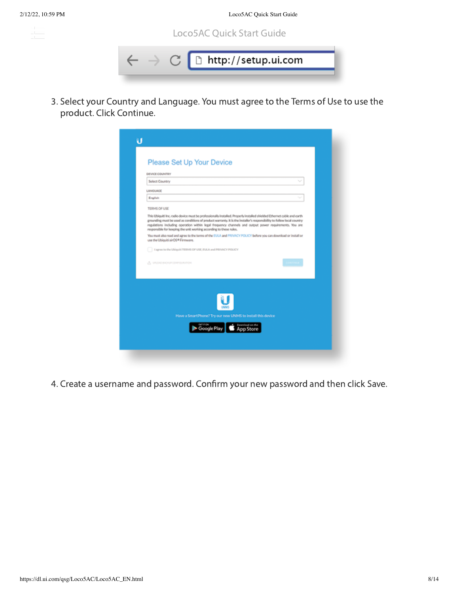s post





3. Select your Country and Language. You must agree to the Terms of Use to use the product. Click Continue.

|                       | DEVICE COUNTRY                                                                                                                                                                                                                                                                                                                                                                                                                   |                                                                                     |  |   |
|-----------------------|----------------------------------------------------------------------------------------------------------------------------------------------------------------------------------------------------------------------------------------------------------------------------------------------------------------------------------------------------------------------------------------------------------------------------------|-------------------------------------------------------------------------------------|--|---|
| <b>Select Country</b> |                                                                                                                                                                                                                                                                                                                                                                                                                                  |                                                                                     |  | w |
| <b>LANGUAGE</b>       |                                                                                                                                                                                                                                                                                                                                                                                                                                  |                                                                                     |  |   |
| English               |                                                                                                                                                                                                                                                                                                                                                                                                                                  |                                                                                     |  |   |
| TERMS OF USE          |                                                                                                                                                                                                                                                                                                                                                                                                                                  |                                                                                     |  |   |
|                       | This Ubiquiti Inc. radio device must be professionally installed. Properly installed shielded Ethernet cable and earth<br>grounding must be used as conditions of product warranty. It is the installer's responsibility to follow local country<br>regulations including operation within legal frequency channels and output power requirements. You are<br>responsible for keeping the unit working according to these rules. |                                                                                     |  |   |
|                       | You must also read and agree to the terms of the EULA and PRIVACY POLICY before you can download or install or<br>use the Ubiquiti sirOS* Firmware.                                                                                                                                                                                                                                                                              |                                                                                     |  |   |
|                       | Lagree to the Ubiquiti TERMS OF USE, EULA and PRIVACY POLICY                                                                                                                                                                                                                                                                                                                                                                     |                                                                                     |  |   |
|                       | (F) UPLOAD BACKUP COMPISY/KATION                                                                                                                                                                                                                                                                                                                                                                                                 |                                                                                     |  |   |
|                       |                                                                                                                                                                                                                                                                                                                                                                                                                                  | Have a SmartPhone? Try our new UNMS to install this device<br>Google Play App Store |  |   |

4. Create a username and password. Confirm your new password and then click Save.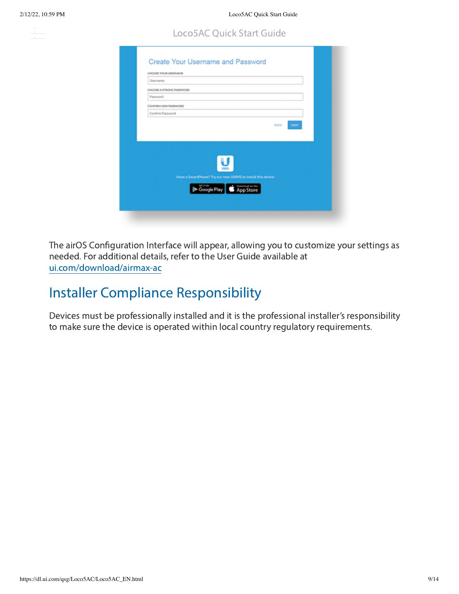10

#### Loco5AC Quick Start Guide

| Username                 |                                                            |
|--------------------------|------------------------------------------------------------|
| CHOOSE A STRONG PASSWORD |                                                            |
| Password                 |                                                            |
| CONFIRM NEW RASSWORD     |                                                            |
| Confirm Password         |                                                            |
|                          | <b>SAVE</b><br>BACK                                        |
|                          |                                                            |
|                          |                                                            |
|                          |                                                            |
|                          | Have a SmartPhone? Try our new UNMS to install this device |
|                          |                                                            |
|                          | Google Play App Store                                      |

The airOS Configuration Interface will appear, allowing you to customize your settings as needed. For additional details, refer to the User Guide available at [ui.com/download/airmax-ac](https://www.ui.com/download/airmax-ac)

## Installer Compliance Responsibility

Devices must be professionally installed and it is the professional installer's responsibility to make sure the device is operated within local country regulatory requirements.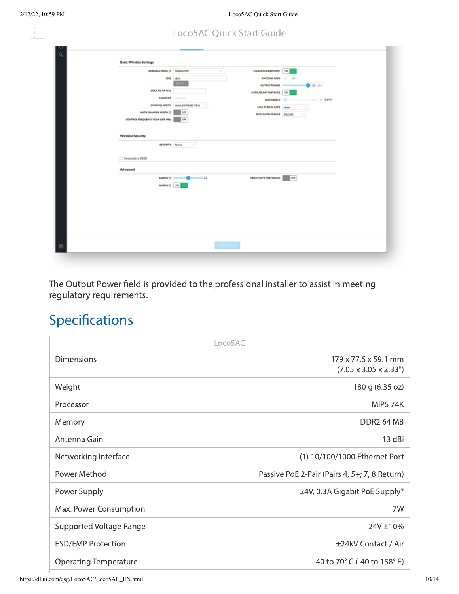ana.<br>Manazarta

|  |  | <b>Loco5AC Quick Start Guide</b> |
|--|--|----------------------------------|
|  |  |                                  |

| <b>Basic Wireless Settings</b>   |                                                    |                                                     |                |  |
|----------------------------------|----------------------------------------------------|-----------------------------------------------------|----------------|--|
|                                  | WARLESS MODE (7) Station PtP                       | CALCULATE DRAUMAT CN<br>$\mathcal{N}_{\mathcal{A}}$ |                |  |
|                                  | 550 Library                                        | ANTENNA GAIN 13 dti                                 |                |  |
|                                  | <b>IDLECT</b>                                      | OUTPUT POWER -                                      | $0.23$ dim     |  |
|                                  | LOCK TO AP MAC                                     | AUTO ADJUST DISTANCE ON                             |                |  |
|                                  | <b>COUNTRY</b> Certainy                            | <b>DISTANCE PT @</b>                                | O.C. Inc. OANN |  |
|                                  | ONANELWIDTH Auto 20/40/80 MHz V                    | MAX TX BATA RATE Auto                               | w              |  |
| AUTO CHANNEL WADTH (?)           | car                                                | GATA RATE HODANE Ottach                             | <b>Sell</b>    |  |
| CONTROL FREQUENCY SCAN LIST, MHz | cer                                                |                                                     |                |  |
|                                  |                                                    |                                                     |                |  |
| <b>Wireless Security</b>         |                                                    |                                                     |                |  |
|                                  | <b>SOURITY None</b><br>$\mathcal{L}_{\mathcal{C}}$ |                                                     |                |  |
|                                  |                                                    |                                                     |                |  |
| Secondary \$50D                  |                                                    |                                                     |                |  |
| Advanced                         |                                                    |                                                     |                |  |
|                                  | AMPOULTS<br>$-32$                                  | SENSITIVITY THRESHOLD                               | <b>lors</b>    |  |
|                                  | AMGOUTS ON                                         |                                                     |                |  |
|                                  |                                                    |                                                     |                |  |
|                                  |                                                    |                                                     |                |  |
|                                  |                                                    |                                                     |                |  |
|                                  |                                                    |                                                     |                |  |
|                                  |                                                    |                                                     |                |  |
|                                  |                                                    |                                                     |                |  |
|                                  |                                                    |                                                     |                |  |
|                                  |                                                    | <b>SAVE CHANGES</b>                                 |                |  |
|                                  |                                                    |                                                     |                |  |
|                                  |                                                    |                                                     |                |  |

<span id="page-9-0"></span>The Output Power field is provided to the professional installer to assist in meeting regulatory requirements.

# Specifications

|                              | Loco5AC                                                               |
|------------------------------|-----------------------------------------------------------------------|
| <b>Dimensions</b>            | $179 \times 77.5 \times 59.1$ mm<br>$(7.05 \times 3.05 \times 2.33")$ |
| Weight                       | 180 g (6.35 oz)                                                       |
| Processor                    | MIPS 74K                                                              |
| Memory                       | DDR2 64 MB                                                            |
| Antenna Gain                 | 13 dBi                                                                |
| Networking Interface         | (1) 10/100/1000 Ethernet Port                                         |
| Power Method                 | Passive PoE 2-Pair (Pairs 4, 5+; 7, 8 Return)                         |
| Power Supply                 | 24V, 0.3A Gigabit PoE Supply*                                         |
| Max. Power Consumption       | 7W                                                                    |
| Supported Voltage Range      | 24V ±10%                                                              |
| <b>ESD/EMP Protection</b>    | ±24kV Contact / Air                                                   |
| <b>Operating Temperature</b> | -40 to 70 $^{\circ}$ C (-40 to 158 $^{\circ}$ F)                      |

https://dl.ui.com/qsg/Loco5AC/Loco5AC\_EN.html 10/14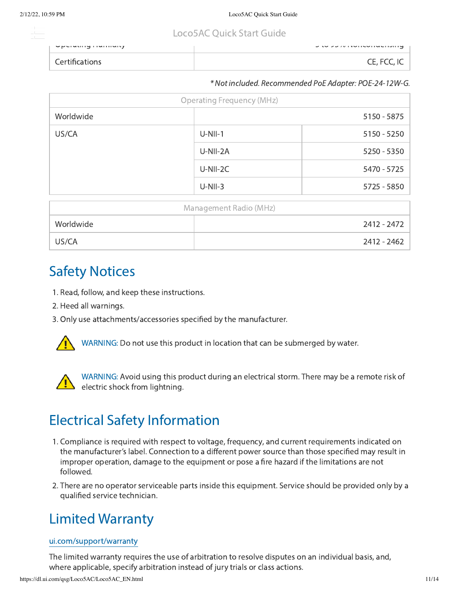## Loco5AC Loco5AC Quick Start Guide

| - Upuruning mummuriy | <b>U to yu iversity in the U to yu set</b> |
|----------------------|--------------------------------------------|
|                      | . E E <i>rr</i>                            |

#### \* Not included. Recommended PoE Adapter: POE-24-12W-G.

| <b>Operating Frequency (MHz)</b> |           |             |  |  |  |  |  |  |
|----------------------------------|-----------|-------------|--|--|--|--|--|--|
| Worldwide                        |           | 5150 - 5875 |  |  |  |  |  |  |
| US/CA                            | $U-NII-1$ | 5150 - 5250 |  |  |  |  |  |  |
|                                  | U-NII-2A  | 5250 - 5350 |  |  |  |  |  |  |
|                                  | U-NII-2C  | 5470 - 5725 |  |  |  |  |  |  |
|                                  | $U-NII-3$ | 5725 - 5850 |  |  |  |  |  |  |
| Management Radio (MHz)           |           |             |  |  |  |  |  |  |
| Worldwide                        |           | 2412 - 2472 |  |  |  |  |  |  |
| US/CA                            |           | 2412 - 2462 |  |  |  |  |  |  |

## Safety Notices

- 1. Read, follow, and keep these instructions.
- 2. Heed all warnings.
- 3. Only use attachments/accessories specified by the manufacturer.



WARNING: Do not use this product in location that can be submerged by water.



WARNING: Avoid using this product during an electrical storm. There may be a remote risk of electric shock from lightning.

# Electrical Safety Information

- 1. Compliance is required with respect to voltage, frequency, and current requirements indicated on the manufacturer's label. Connection to a different power source than those specified may result in improper operation, damage to the equipment or pose a fire hazard if the limitations are not followed.
- 2. There are no operator serviceable parts inside this equipment. Service should be provided only by a qualified service technician.

## Limited Warranty

#### [ui.com/support/warranty](https://www.ui.com/support/warranty/)

The limited warranty requires the use of arbitration to resolve disputes on an individual basis, and, where applicable, specify arbitration instead of jury trials or class actions.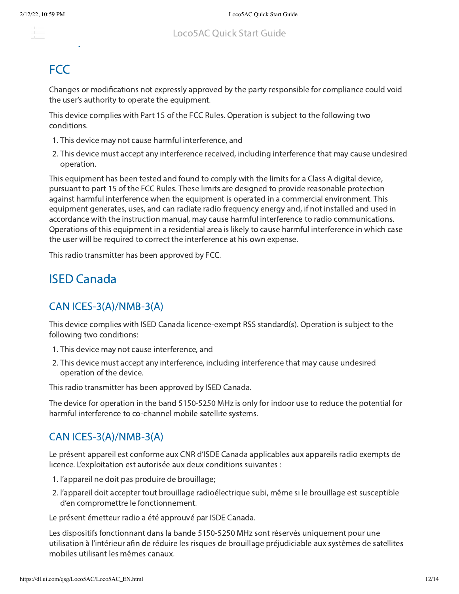## **FCC**

Changes or modifications not expressly approved by the party responsible for compliance could void the user's authority to operate the equipment.

This device complies with Part 15 of the FCC Rules. Operation is subject to the following two conditions.

- 1. This device may not cause harmful interference, and
- 2. This device must accept any interference received, including interference that may cause undesired operation.

This equipment has been tested and found to comply with the limits for a Class A digital device, pursuant to part 15 of the FCC Rules. These limits are designed to provide reasonable protection against harmful interference when the equipment is operated in a commercial environment. This equipment generates, uses, and can radiate radio frequency energy and, if not installed and used in accordance with the instruction manual, may cause harmful interference to radio communications. Operations of this equipment in a residential area is likely to cause harmful interference in which case the user will be required to correct the interference at his own expense.

This radio transmitter has been approved by FCC.

### ISED Canada

#### CAN ICES-3(A)/NMB-3(A)

This device complies with ISED Canada licence-exempt RSS standard(s). Operation is subject to the following two conditions:

- 1. This device may not cause interference, and
- 2. This device must accept any interference, including interference that may cause undesired operation of the device.

This radio transmitter has been approved by ISED Canada.

The device for operation in the band 5150-5250 MHz is only for indoor use to reduce the potential for harmful interference to co-channel mobile satellite systems.

#### CAN ICES-3(A)/NMB-3(A)

Le présent appareil est conforme aux CNR d'ISDE Canada applicables aux appareils radio exempts de licence. L'exploitation est autorisée aux deux conditions suivantes :

- 1. l'appareil ne doit pas produire de brouillage;
- 2. l'appareil doit accepter tout brouillage radioélectrique subi, même si le brouillage est susceptible d'en compromettre le fonctionnement.

Le présent émetteur radio a été approuvé par ISDE Canada.

Les dispositifs fonctionnant dans la bande 5150-5250 MHz sont réservés uniquement pour une utilisation à l'intérieur afin de réduire les risques de brouillage préjudiciable aux systèmes de satellites mobiles utilisant les mêmes canaux.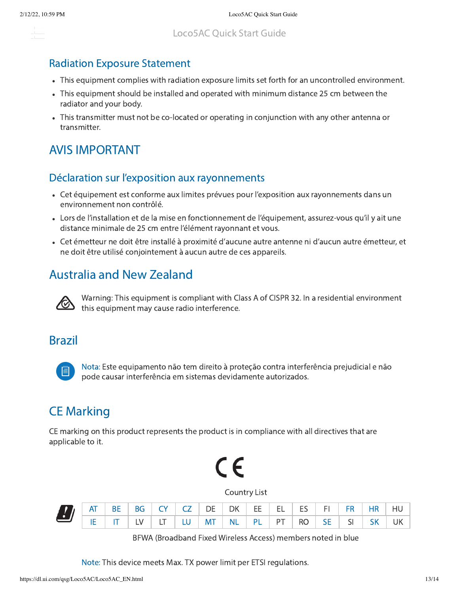#### alan s

#### Radiation Exposure Statement

- This equipment complies with radiation exposure limits set forth for an uncontrolled environment.
- This equipment should be installed and operated with minimum distance 25 cm between the radiator and your body.
- This transmitter must not be co-located or operating in conjunction with any other antenna or transmitter.

### AVIS IMPORTANT

#### Déclaration sur l'exposition aux rayonnements

- Cet équipement est conforme aux limites prévues pour l'exposition aux rayonnements dans un environnement non contrôlé.
- Lors de l'installation et de la mise en fonctionnement de l'équipement, assurez-vous qu'il y ait une distance minimale de 25 cm entre l'élément rayonnant et vous.
- Cet émetteur ne doit être installé à proximité d'aucune autre antenne ni d'aucun autre émetteur, et ne doit être utilisé conjointement à aucun autre de ces appareils.

## Australia and New Zealand



Warning: This equipment is compliant with Class A of CISPR 32. In a residential environment this equipment may cause radio interference.

#### Brazil



Nota: Este equipamento não tem direito à proteção contra interferência prejudicial e não pode causar interferência em sistemas devidamente autorizados.

### CE Marking

CE marking on this product represents the product is in compliance with all directives that are applicable to it.



Country List

| E AT BE BG CY CZ DE DK EE EL ES FI FR HR HU<br>IE IT LV LT LU MT NL PL PT RO SE SI SK UK |  |  |  |  |  |  |  |
|------------------------------------------------------------------------------------------|--|--|--|--|--|--|--|
|                                                                                          |  |  |  |  |  |  |  |

BFWA (Broadband Fixed Wireless Access) members noted in blue

Note: This device meets Max. TX power limit per ETSI regulations.